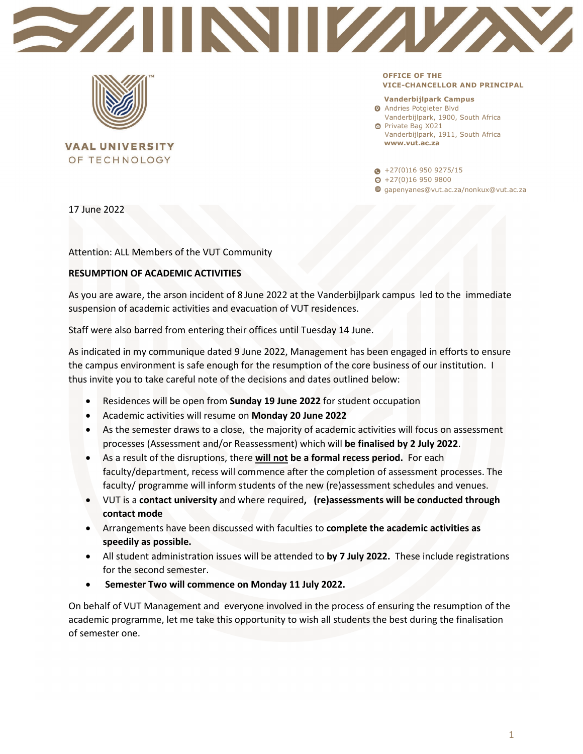



**VAAL UNIVERSITY** OF TECHNOLOGY

**OFFICE OF THE VICE-CHANCELLOR AND PRINCIPAL** 

## **Vanderbijlpark Campus**

**O** Andries Potgieter Blvd Vanderbijlpark, 1900, South Africa

**O** Private Bag X021 Vanderbijlpark, 1911, South Africa **www.vut.ac.za**

 $\bullet$  +27(0)16 950 9275/15

- $\Theta$  +27(0)16 950 9800
- gapenyanes@vut.ac.za/nonkux@vut.ac.za

17 June 2022

Attention: ALL Members of the VUT Community

## **RESUMPTION OF ACADEMIC ACTIVITIES**

As you are aware, the arson incident of 8 June 2022 at the Vanderbijlpark campus led to the immediate suspension of academic activities and evacuation of VUT residences.

Staff were also barred from entering their offices until Tuesday 14 June.

As indicated in my communique dated 9 June 2022, Management has been engaged in efforts to ensure the campus environment is safe enough for the resumption of the core business of our institution. I thus invite you to take careful note of the decisions and dates outlined below:

- Residences will be open from **Sunday 19 June 2022** for student occupation
- Academic activities will resume on **Monday 20 June 2022**
- As the semester draws to a close, the majority of academic activities will focus on assessment processes (Assessment and/or Reassessment) which will **be finalised by 2 July 2022**.
- As a result of the disruptions, there **will not be a formal recess period.** For each faculty/department, recess will commence after the completion of assessment processes. The faculty/ programme will inform students of the new (re)assessment schedules and venues.
- VUT is a **contact university** and where required**, (re)assessments will be conducted through contact mode**
- Arrangements have been discussed with faculties to **complete the academic activities as speedily as possible.**
- All student administration issues will be attended to **by 7 July 2022.** These include registrations for the second semester.
- **Semester Two will commence on Monday 11 July 2022.**

On behalf of VUT Management and everyone involved in the process of ensuring the resumption of the academic programme, let me take this opportunity to wish all students the best during the finalisation of semester one.